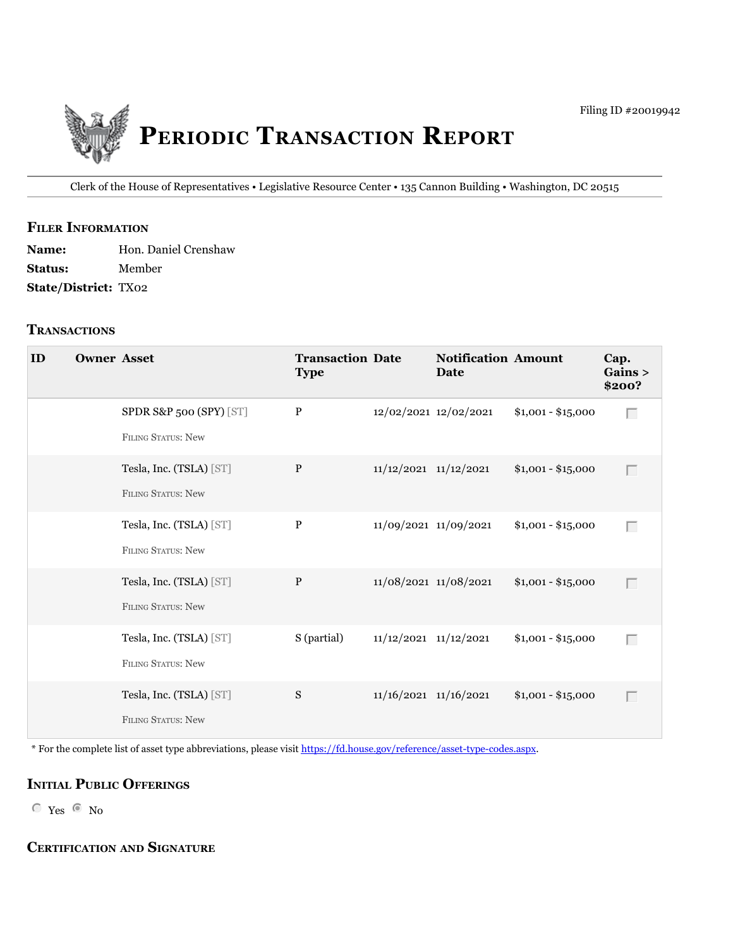

Clerk of the House of Representatives • legislative Resource Center • 135 Cannon Building • Washington, DC 20515

## **filer information**

| <b>Name:</b>                | Hon. Daniel Crenshaw |
|-----------------------------|----------------------|
| <b>Status:</b>              | Member               |
| <b>State/District: TX02</b> |                      |

## **tranSactionS**

| ID | <b>Owner Asset</b> |                                                      | <b>Transaction Date</b><br><b>Type</b> |                           | <b>Notification Amount</b><br>Date |                    | Cap.<br>Gains ><br>\$200? |
|----|--------------------|------------------------------------------------------|----------------------------------------|---------------------------|------------------------------------|--------------------|---------------------------|
|    |                    | SPDR S&P 500 (SPY) [ST]<br>FILING STATUS: New        | $\mathbf P$                            |                           | 12/02/2021 12/02/2021              | $$1,001 - $15,000$ | $\Box$                    |
|    |                    | Tesla, Inc. (TSLA) [ST]<br><b>FILING STATUS: New</b> | $\, {\bf P}$                           | $11/12/2021$ $11/12/2021$ |                                    | $$1,001 - $15,000$ | $\Box$                    |
|    |                    | Tesla, Inc. (TSLA) [ST]<br>FILING STATUS: New        | $\, {\bf P}$                           | 11/09/2021 11/09/2021     |                                    | $$1,001 - $15,000$ | $\Box$                    |
|    |                    | Tesla, Inc. (TSLA) [ST]<br>FILING STATUS: New        | $\, {\bf P}$                           | 11/08/2021 11/08/2021     |                                    | $$1,001 - $15,000$ | $\Box$                    |
|    |                    | Tesla, Inc. (TSLA) [ST]<br>FILING STATUS: New        | S (partial)                            | 11/12/2021 11/12/2021     |                                    | $$1,001 - $15,000$ | $\Box$                    |
|    |                    | Tesla, Inc. (TSLA) [ST]<br><b>FILING STATUS: New</b> | ${\bf S}$                              | 11/16/2021 11/16/2021     |                                    | $$1,001 - $15,000$ | $\Box$                    |

\* For the complete list of asset type abbreviations, please visit<https://fd.house.gov/reference/asset-type-codes.aspx>.

## **initial Public offeringS**

 $\degree$  Yes  $\degree$  No

**certification anD Signature**